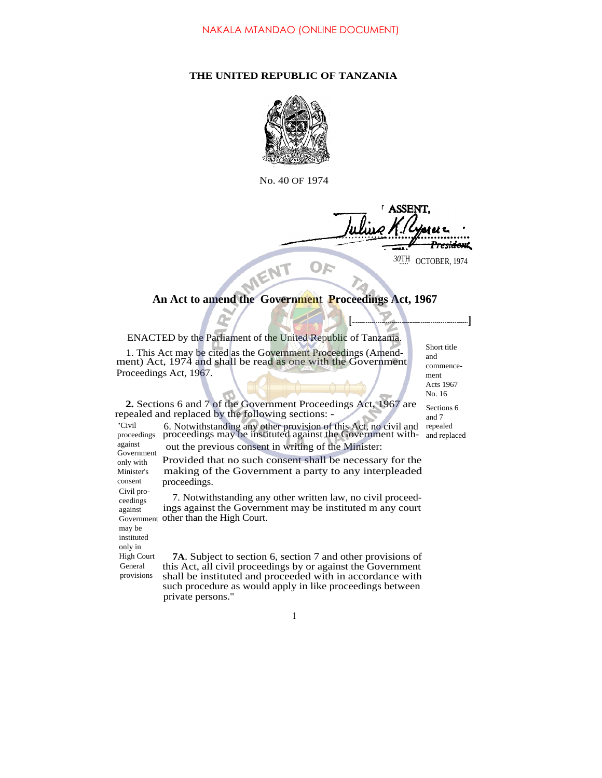## **THE UNITED REPUBLIC OF TANZANIA**



No. 40 OF 1974

**ASSEN** <del>esidon</del>t 30TH OCTOBER, 1974

## An Act to amend the Government Proceedings Act, 1967

ENACTED by the Parliament of the United Republic of Tanzania.

1. This Act may be cited as the Government Proceedings (Amendment) Act, 1974 and shall be read as one with the Government Proceedings Act, 1967.

Short title and commencement Acts 1967 No. 16 Sections 6

and 7 repealed and replaced

**[ ]**

**2.** Sections 6 and 7 of the Government Proceedings Act, 1967 are repealed and replaced by the following sections: -

6. Notwithstanding any other provision of this Act, no civil and proceedings may be instituted against the Government with out the previous consent in writing of the Minister: proceedings against Government

Provided that no such consent shall be necessary for the making of the Government a party to any interpleaded proceedings. Civil pro-

7. Notwithstanding any other written law, no civil proceedings against the Government may be instituted m any court Government other than the High Court.

may be instituted only in High Court General provisions

"Civil

only with Minister's consent

ceedings against

> **7A**. Subject to section 6, section 7 and other provisions of this Act, all civil proceedings by or against the Government shall be instituted and proceeded with in accordance with such procedure as would apply in like proceedings between private persons."

> > 1